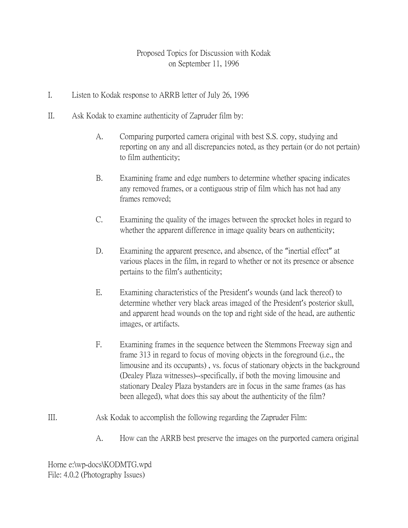## Proposed Topics for Discussion with Kodak on September 11, 1996

- I. Listen to Kodak response to ARRB letter of July 26, 1996
- II. Ask Kodak to examine authenticity of Zapruder film by:
	- A. Comparing purported camera original with best S.S. copy, studying and reporting on any and all discrepancies noted, as they pertain (or do not pertain) to film authenticity;
	- B. Examining frame and edge numbers to determine whether spacing indicates any removed frames, or a contiguous strip of film which has not had any frames removed;
	- C. Examining the quality of the images between the sprocket holes in regard to whether the apparent difference in image quality bears on authenticity;
	- D. Examining the apparent presence, and absence, of the "inertial effect" at various places in the film, in regard to whether or not its presence or absence pertains to the film's authenticity;
	- E. Examining characteristics of the President's wounds (and lack thereof) to determine whether very black areas imaged of the President's posterior skull, and apparent head wounds on the top and right side of the head, are authentic images, or artifacts.
	- F. Examining frames in the sequence between the Stemmons Freeway sign and frame 313 in regard to focus of moving objects in the foreground (i.e., the limousine and its occupants) , vs. focus of stationary objects in the background (Dealey Plaza witnesses)--specifically, if both the moving limousine and stationary Dealey Plaza bystanders are in focus in the same frames (as has been alleged), what does this say about the authenticity of the film?
- III. Ask Kodak to accomplish the following regarding the Zapruder Film:
	- A. How can the ARRB best preserve the images on the purported camera original

Horne e:\wp-docs\KODMTG.wpd File: 4.0.2 (Photography Issues)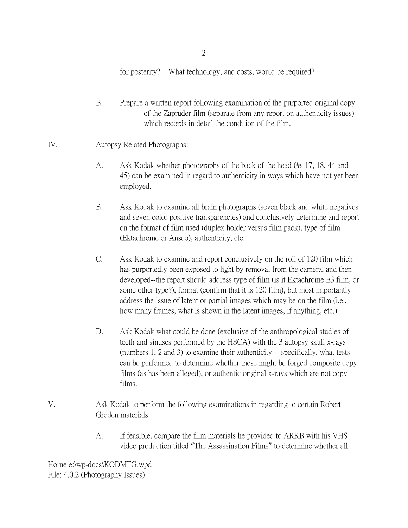2

for posterity? What technology, and costs, would be required?

- B. Prepare a written report following examination of the purported original copy of the Zapruder film (separate from any report on authenticity issues) which records in detail the condition of the film.
- IV. Autopsy Related Photographs:
	- A. Ask Kodak whether photographs of the back of the head (#s 17, 18, 44 and 45) can be examined in regard to authenticity in ways which have not yet been employed.
	- B. Ask Kodak to examine all brain photographs (seven black and white negatives and seven color positive transparencies) and conclusively determine and report on the format of film used (duplex holder versus film pack), type of film (Ektachrome or Ansco), authenticity, etc.
	- C. Ask Kodak to examine and report conclusively on the roll of 120 film which has purportedly been exposed to light by removal from the camera, and then developed--the report should address type of film (is it Ektachrome E3 film, or some other type?), format (confirm that it is 120 film), but most importantly address the issue of latent or partial images which may be on the film (i.e., how many frames, what is shown in the latent images, if anything, etc.).
	- D. Ask Kodak what could be done (exclusive of the anthropological studies of teeth and sinuses performed by the HSCA) with the 3 autopsy skull x-rays (numbers 1, 2 and 3) to examine their authenticity -- specifically, what tests can be performed to determine whether these might be forged composite copy films (as has been alleged), or authentic original x-rays which are not copy films.
- V. Ask Kodak to perform the following examinations in regarding to certain Robert Groden materials:
	- A. If feasible, compare the film materials he provided to ARRB with his VHS video production titled "The Assassination Films" to determine whether all

Horne e:\wp-docs\KODMTG.wpd File: 4.0.2 (Photography Issues)